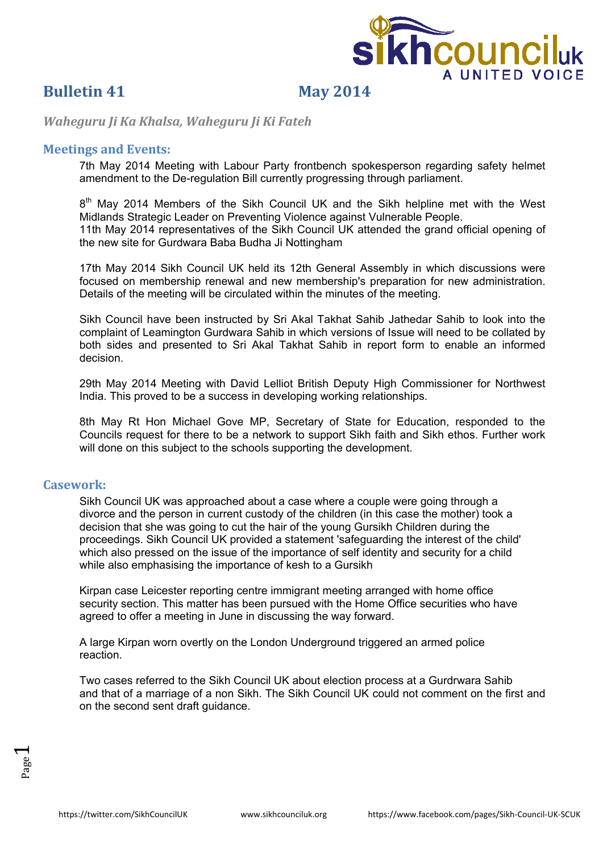

## **Bulletin 41 May 2014**

*Waheguru Ji Ka Khalsa, Waheguru Ji Ki Fateh*

#### **Meetings and Events:**

7th May 2014 Meeting with Labour Party frontbench spokesperson regarding safety helmet amendment to the De-regulation Bill currently progressing through parliament.

8<sup>th</sup> May 2014 Members of the Sikh Council UK and the Sikh helpline met with the West Midlands Strategic Leader on Preventing Violence against Vulnerable People. 11th May 2014 representatives of the Sikh Council UK attended the grand official opening of the new site for Gurdwara Baba Budha Ji Nottingham

17th May 2014 Sikh Council UK held its 12th General Assembly in which discussions were focused on membership renewal and new membership's preparation for new administration. Details of the meeting will be circulated within the minutes of the meeting.

Sikh Council have been instructed by Sri Akal Takhat Sahib Jathedar Sahib to look into the complaint of Leamington Gurdwara Sahib in which versions of Issue will need to be collated by both sides and presented to Sri Akal Takhat Sahib in report form to enable an informed decision.

29th May 2014 Meeting with David Lelliot British Deputy High Commissioner for Northwest India. This proved to be a success in developing working relationships.

8th May Rt Hon Michael Gove MP, Secretary of State for Education, responded to the Councils request for there to be a network to support Sikh faith and Sikh ethos. Further work will done on this subject to the schools supporting the development.

#### **Casework:**

Sikh Council UK was approached about a case where a couple were going through a divorce and the person in current custody of the children (in this case the mother) took a decision that she was going to cut the hair of the young Gursikh Children during the proceedings. Sikh Council UK provided a statement 'safeguarding the interest of the child' which also pressed on the issue of the importance of self identity and security for a child while also emphasising the importance of kesh to a Gursikh

Kirpan case Leicester reporting centre immigrant meeting arranged with home office security section. This matter has been pursued with the Home Office securities who have agreed to offer a meeting in June in discussing the way forward.

A large Kirpan worn overtly on the London Underground triggered an armed police reaction.

Two cases referred to the Sikh Council UK about election process at a Gurdrwara Sahib and that of a marriage of a non Sikh. The Sikh Council UK could not comment on the first and on the second sent draft guidance.